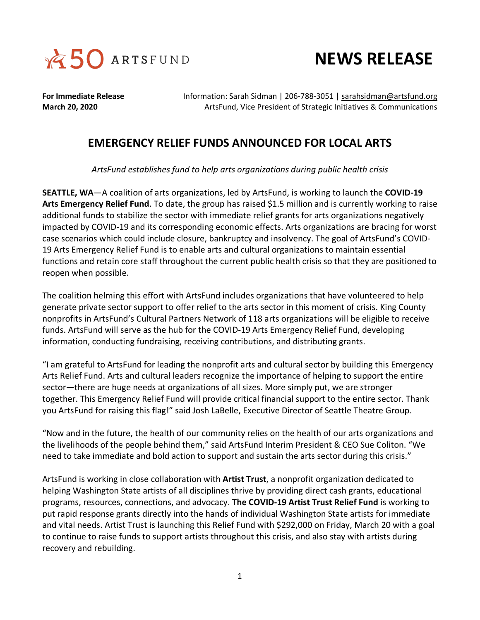



**For Immediate Release** Information: Sarah Sidman | 206-788-3051 | [sarahsidman@artsfund.org](mailto:sarahsidman@artsfund.org) **March 20, 2020** ArtsFund, Vice President of Strategic Initiatives & Communications

## **EMERGENCY RELIEF FUNDS ANNOUNCED FOR LOCAL ARTS**

*ArtsFund establishes fund to help arts organizations during public health crisis* 

**SEATTLE, WA**—A coalition of arts organizations, led by ArtsFund, is working to launch the **COVID-19 Arts Emergency Relief Fund**. To date, the group has raised \$1.5 million and is currently working to raise additional funds to stabilize the sector with immediate relief grants for arts organizations negatively impacted by COVID-19 and its corresponding economic effects. Arts organizations are bracing for worst case scenarios which could include closure, bankruptcy and insolvency. The goal of ArtsFund's COVID-19 Arts Emergency Relief Fund is to enable arts and cultural organizations to maintain essential functions and retain core staff throughout the current public health crisis so that they are positioned to reopen when possible.

The coalition helming this effort with ArtsFund includes organizations that have volunteered to help generate private sector support to offer relief to the arts sector in this moment of crisis. King County nonprofits in ArtsFund's Cultural Partners Network of 118 arts organizations will be eligible to receive funds. ArtsFund will serve as the hub for the COVID-19 Arts Emergency Relief Fund, developing information, conducting fundraising, receiving contributions, and distributing grants.

"I am grateful to ArtsFund for leading the nonprofit arts and cultural sector by building this Emergency Arts Relief Fund. Arts and cultural leaders recognize the importance of helping to support the entire sector—there are huge needs at organizations of all sizes. More simply put, we are stronger together. This Emergency Relief Fund will provide critical financial support to the entire sector. Thank you ArtsFund for raising this flag!" said Josh LaBelle, Executive Director of Seattle Theatre Group.

"Now and in the future, the health of our community relies on the health of our arts organizations and the livelihoods of the people behind them," said ArtsFund Interim President & CEO Sue Coliton. "We need to take immediate and bold action to support and sustain the arts sector during this crisis."

ArtsFund is working in close collaboration with **Artist Trust**, a nonprofit organization dedicated to helping Washington State artists of all disciplines thrive by providing direct cash grants, educational programs, resources, connections, and advocacy. **The COVID-19 Artist Trust Relief Fund** is working to put rapid response grants directly into the hands of individual Washington State artists for immediate and vital needs. Artist Trust is launching this Relief Fund with \$292,000 on Friday, March 20 with a goal to continue to raise funds to support artists throughout this crisis, and also stay with artists during recovery and rebuilding.